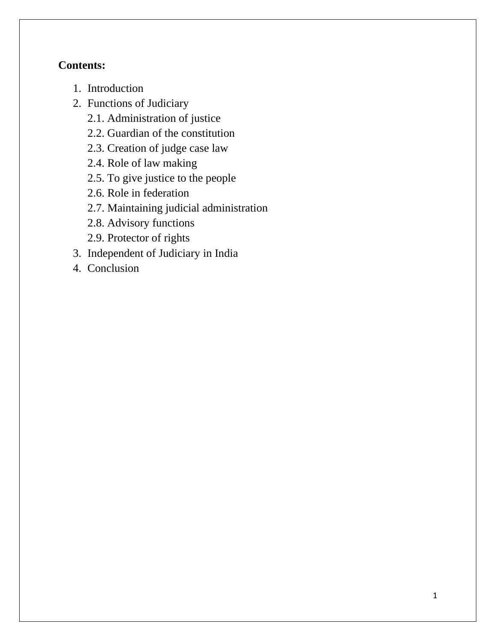# **Contents:**

- 1. Introduction
- 2. Functions of Judiciary
	- 2.1. Administration of justice
	- 2.2. Guardian of the constitution
	- 2.3. Creation of judge case law
	- 2.4. Role of law making
	- 2.5. To give justice to the people
	- 2.6. Role in federation
	- 2.7. Maintaining judicial administration
	- 2.8. Advisory functions
	- 2.9. Protector of rights
- 3. Independent of Judiciary in India
- 4. Conclusion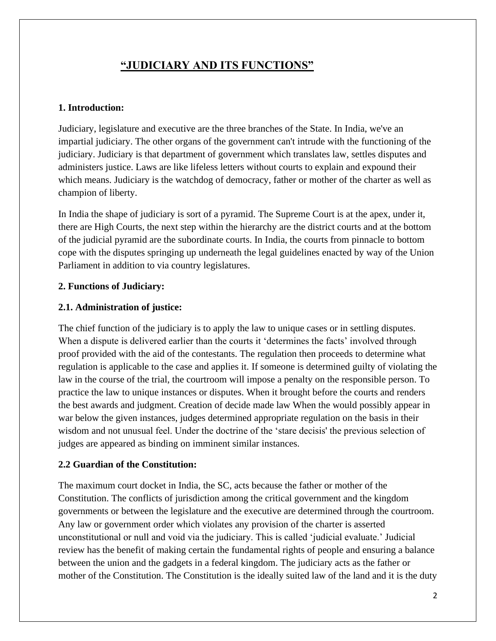# **"JUDICIARY AND ITS FUNCTIONS"**

### **1. Introduction:**

Judiciary, legislature and executive are the three branches of the State. In India, we've an impartial judiciary. The other organs of the government can't intrude with the functioning of the judiciary. Judiciary is that department of government which translates law, settles disputes and administers justice. Laws are like lifeless letters without courts to explain and expound their which means. Judiciary is the watchdog of democracy, father or mother of the charter as well as champion of liberty.

In India the shape of judiciary is sort of a pyramid. The Supreme Court is at the apex, under it, there are High Courts, the next step within the hierarchy are the district courts and at the bottom of the judicial pyramid are the subordinate courts. In India, the courts from pinnacle to bottom cope with the disputes springing up underneath the legal guidelines enacted by way of the Union Parliament in addition to via country legislatures.

#### **2. Functions of Judiciary:**

#### **2.1. Administration of justice:**

The chief function of the judiciary is to apply the law to unique cases or in settling disputes. When a dispute is delivered earlier than the courts it 'determines the facts' involved through proof provided with the aid of the contestants. The regulation then proceeds to determine what regulation is applicable to the case and applies it. If someone is determined guilty of violating the law in the course of the trial, the courtroom will impose a penalty on the responsible person. To practice the law to unique instances or disputes. When it brought before the courts and renders the best awards and judgment. Creation of decide made law When the would possibly appear in war below the given instances, judges determined appropriate regulation on the basis in their wisdom and not unusual feel. Under the doctrine of the 'stare decisis' the previous selection of judges are appeared as binding on imminent similar instances.

#### **2.2 Guardian of the Constitution:**

The maximum court docket in India, the SC, acts because the father or mother of the Constitution. The conflicts of jurisdiction among the critical government and the kingdom governments or between the legislature and the executive are determined through the courtroom. Any law or government order which violates any provision of the charter is asserted unconstitutional or null and void via the judiciary. This is called 'judicial evaluate.' Judicial review has the benefit of making certain the fundamental rights of people and ensuring a balance between the union and the gadgets in a federal kingdom. The judiciary acts as the father or mother of the Constitution. The Constitution is the ideally suited law of the land and it is the duty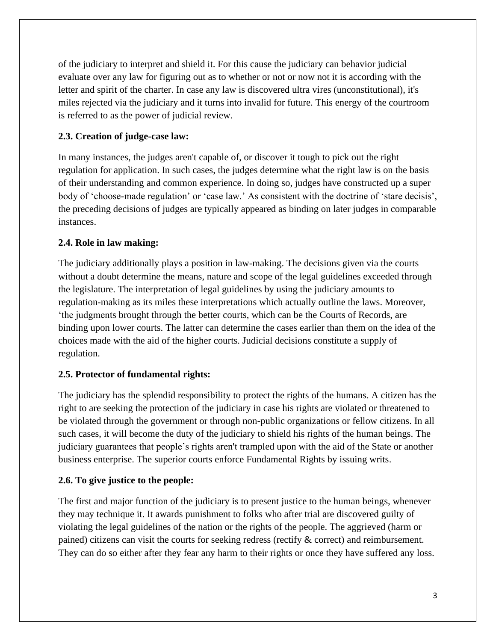of the judiciary to interpret and shield it. For this cause the judiciary can behavior judicial evaluate over any law for figuring out as to whether or not or now not it is according with the letter and spirit of the charter. In case any law is discovered ultra vires (unconstitutional), it's miles rejected via the judiciary and it turns into invalid for future. This energy of the courtroom is referred to as the power of judicial review.

## **2.3. Creation of judge-case law:**

In many instances, the judges aren't capable of, or discover it tough to pick out the right regulation for application. In such cases, the judges determine what the right law is on the basis of their understanding and common experience. In doing so, judges have constructed up a super body of 'choose-made regulation' or 'case law.' As consistent with the doctrine of 'stare decisis', the preceding decisions of judges are typically appeared as binding on later judges in comparable instances.

### **2.4. Role in law making:**

The judiciary additionally plays a position in law-making. The decisions given via the courts without a doubt determine the means, nature and scope of the legal guidelines exceeded through the legislature. The interpretation of legal guidelines by using the judiciary amounts to regulation-making as its miles these interpretations which actually outline the laws. Moreover, 'the judgments brought through the better courts, which can be the Courts of Records, are binding upon lower courts. The latter can determine the cases earlier than them on the idea of the choices made with the aid of the higher courts. Judicial decisions constitute a supply of regulation.

### **2.5. Protector of fundamental rights:**

The judiciary has the splendid responsibility to protect the rights of the humans. A citizen has the right to are seeking the protection of the judiciary in case his rights are violated or threatened to be violated through the government or through non-public organizations or fellow citizens. In all such cases, it will become the duty of the judiciary to shield his rights of the human beings. The judiciary guarantees that people's rights aren't trampled upon with the aid of the State or another business enterprise. The superior courts enforce Fundamental Rights by issuing writs.

### **2.6. To give justice to the people:**

The first and major function of the judiciary is to present justice to the human beings, whenever they may technique it. It awards punishment to folks who after trial are discovered guilty of violating the legal guidelines of the nation or the rights of the people. The aggrieved (harm or pained) citizens can visit the courts for seeking redress (rectify & correct) and reimbursement. They can do so either after they fear any harm to their rights or once they have suffered any loss.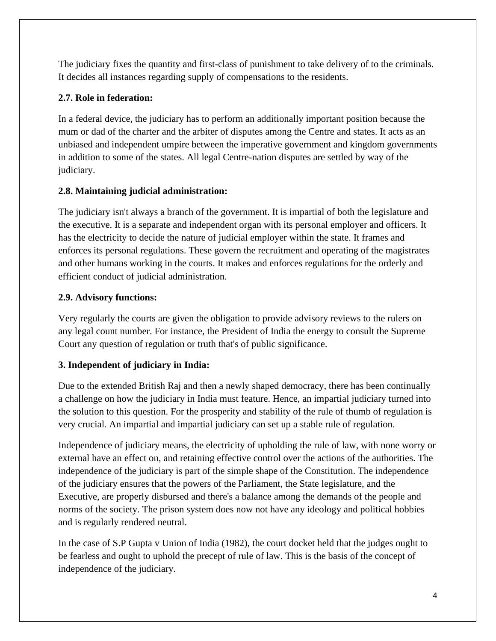The judiciary fixes the quantity and first-class of punishment to take delivery of to the criminals. It decides all instances regarding supply of compensations to the residents.

## **2.7. Role in federation:**

In a federal device, the judiciary has to perform an additionally important position because the mum or dad of the charter and the arbiter of disputes among the Centre and states. It acts as an unbiased and independent umpire between the imperative government and kingdom governments in addition to some of the states. All legal Centre-nation disputes are settled by way of the judiciary.

## **2.8. Maintaining judicial administration:**

The judiciary isn't always a branch of the government. It is impartial of both the legislature and the executive. It is a separate and independent organ with its personal employer and officers. It has the electricity to decide the nature of judicial employer within the state. It frames and enforces its personal regulations. These govern the recruitment and operating of the magistrates and other humans working in the courts. It makes and enforces regulations for the orderly and efficient conduct of judicial administration.

## **2.9. Advisory functions:**

Very regularly the courts are given the obligation to provide advisory reviews to the rulers on any legal count number. For instance, the President of India the energy to consult the Supreme Court any question of regulation or truth that's of public significance.

# **3. Independent of judiciary in India:**

Due to the extended British Raj and then a newly shaped democracy, there has been continually a challenge on how the judiciary in India must feature. Hence, an impartial judiciary turned into the solution to this question. For the prosperity and stability of the rule of thumb of regulation is very crucial. An impartial and impartial judiciary can set up a stable rule of regulation.

Independence of judiciary means, the electricity of upholding the rule of law, with none worry or external have an effect on, and retaining effective control over the actions of the authorities. The independence of the judiciary is part of the simple shape of the Constitution. The independence of the judiciary ensures that the powers of the Parliament, the State legislature, and the Executive, are properly disbursed and there's a balance among the demands of the people and norms of the society. The prison system does now not have any ideology and political hobbies and is regularly rendered neutral.

In the case of S.P Gupta v Union of India (1982), the court docket held that the judges ought to be fearless and ought to uphold the precept of rule of law. This is the basis of the concept of independence of the judiciary.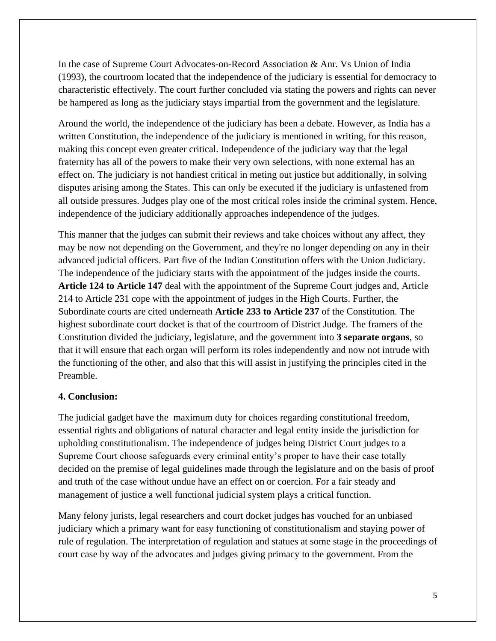In the case of Supreme Court Advocates-on-Record Association & Anr. Vs Union of India (1993), the courtroom located that the independence of the judiciary is essential for democracy to characteristic effectively. The court further concluded via stating the powers and rights can never be hampered as long as the judiciary stays impartial from the government and the legislature.

Around the world, the independence of the judiciary has been a debate. However, as India has a written Constitution, the independence of the judiciary is mentioned in writing, for this reason, making this concept even greater critical. Independence of the judiciary way that the legal fraternity has all of the powers to make their very own selections, with none external has an effect on. The judiciary is not handiest critical in meting out justice but additionally, in solving disputes arising among the States. This can only be executed if the judiciary is unfastened from all outside pressures. Judges play one of the most critical roles inside the criminal system. Hence, independence of the judiciary additionally approaches independence of the judges.

This manner that the judges can submit their reviews and take choices without any affect, they may be now not depending on the Government, and they're no longer depending on any in their advanced judicial officers. Part five of the Indian Constitution offers with the Union Judiciary. The independence of the judiciary starts with the appointment of the judges inside the courts. **Article 124 to Article 147** deal with the appointment of the Supreme Court judges and, Article 214 to Article 231 cope with the appointment of judges in the High Courts. Further, the Subordinate courts are cited underneath **Article 233 to Article 237** of the Constitution. The highest subordinate court docket is that of the courtroom of District Judge. The framers of the Constitution divided the judiciary, legislature, and the government into **3 separate organs**, so that it will ensure that each organ will perform its roles independently and now not intrude with the functioning of the other, and also that this will assist in justifying the principles cited in the Preamble.

### **4. Conclusion:**

The judicial gadget have the maximum duty for choices regarding constitutional freedom, essential rights and obligations of natural character and legal entity inside the jurisdiction for upholding constitutionalism. The independence of judges being District Court judges to a Supreme Court choose safeguards every criminal entity's proper to have their case totally decided on the premise of legal guidelines made through the legislature and on the basis of proof and truth of the case without undue have an effect on or coercion. For a fair steady and management of justice a well functional judicial system plays a critical function.

Many felony jurists, legal researchers and court docket judges has vouched for an unbiased judiciary which a primary want for easy functioning of constitutionalism and staying power of rule of regulation. The interpretation of regulation and statues at some stage in the proceedings of court case by way of the advocates and judges giving primacy to the government. From the